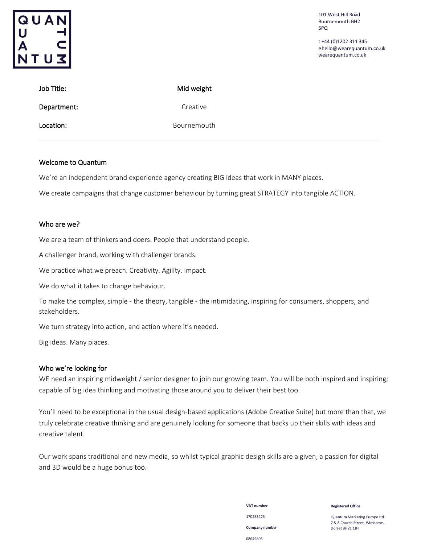

101 West Hill Road Bournemouth BH2 5PQ

t +44 (0)1202 311 345 [ehello@wearequantum.co.uk](mailto:hello@wearequantum.co.uk) wearequantum.co.uk

| Job Title:  | Mid weight  |
|-------------|-------------|
| Department: | Creative    |
| Location:   | Bournemouth |

### Welcome to Quantum

We're an independent brand experience agency creating BIG ideas that work in MANY places.

We create campaigns that change customer behaviour by turning great STRATEGY into tangible ACTION.

## Who are we?

We are a team of thinkers and doers. People that understand people.

A challenger brand, working with challenger brands.

We practice what we preach. Creativity. Agility. Impact.

We do what it takes to change behaviour.

To make the complex, simple - the theory, tangible - the intimidating, inspiring for consumers, shoppers, and stakeholders.

We turn strategy into action, and action where it's needed.

Big ideas. Many places.

## Who we're looking for

WE need an inspiring midweight / senior designer to join our growing team. You will be both inspired and inspiring; capable of big idea thinking and motivating those around you to deliver their best too.

You'll need to be exceptional in the usual design-based applications (Adobe Creative Suite) but more than that, we truly celebrate creative thinking and are genuinely looking for someone that backs up their skills with ideas and creative talent.

Our work spans traditional and new media, so whilst typical graphic design skills are a given, a passion for digital and 3D would be a huge bonus too.

> **VAT number** 170283423 **Company number** 08649805

**Registered Office**

Quantum Marketing EuropeLtd 7 & 8 Church Street, Wimborne, Dorset BH21 1JH